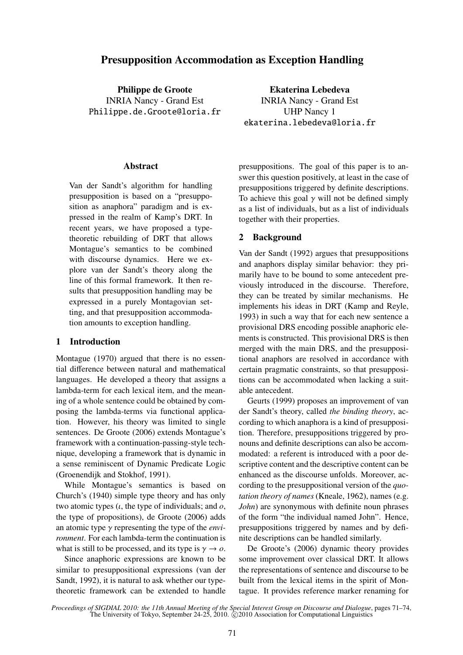# Presupposition Accommodation as Exception Handling

Philippe de Groote INRIA Nancy - Grand Est Philippe.de.Groote@loria.fr

#### Abstract

Van der Sandt's algorithm for handling presupposition is based on a "presupposition as anaphora" paradigm and is expressed in the realm of Kamp's DRT. In recent years, we have proposed a typetheoretic rebuilding of DRT that allows Montague's semantics to be combined with discourse dynamics. Here we explore van der Sandt's theory along the line of this formal framework. It then results that presupposition handling may be expressed in a purely Montagovian setting, and that presupposition accommodation amounts to exception handling.

### 1 Introduction

Montague (1970) argued that there is no essential difference between natural and mathematical languages. He developed a theory that assigns a lambda-term for each lexical item, and the meaning of a whole sentence could be obtained by composing the lambda-terms via functional application. However, his theory was limited to single sentences. De Groote (2006) extends Montague's framework with a continuation-passing-style technique, developing a framework that is dynamic in a sense reminiscent of Dynamic Predicate Logic (Groenendijk and Stokhof, 1991).

While Montague's semantics is based on Church's (1940) simple type theory and has only two atomic types  $(t, t)$  the type of individuals; and  $\sigma$ , the type of propositions), de Groote (2006) adds an atomic type γ representing the type of the *environment*. For each lambda-term the continuation is what is still to be processed, and its type is  $\gamma \to o$ .

Since anaphoric expressions are known to be similar to presuppositional expressions (van der Sandt, 1992), it is natural to ask whether our typetheoretic framework can be extended to handle

Ekaterina Lebedeva INRIA Nancy - Grand Est UHP Nancy 1 ekaterina.lebedeva@loria.fr

presuppositions. The goal of this paper is to answer this question positively, at least in the case of presuppositions triggered by definite descriptions. To achieve this goal  $\gamma$  will not be defined simply as a list of individuals, but as a list of individuals together with their properties.

## 2 Background

Van der Sandt (1992) argues that presuppositions and anaphors display similar behavior: they primarily have to be bound to some antecedent previously introduced in the discourse. Therefore, they can be treated by similar mechanisms. He implements his ideas in DRT (Kamp and Reyle, 1993) in such a way that for each new sentence a provisional DRS encoding possible anaphoric elements is constructed. This provisional DRS is then merged with the main DRS, and the presuppositional anaphors are resolved in accordance with certain pragmatic constraints, so that presuppositions can be accommodated when lacking a suitable antecedent.

Geurts (1999) proposes an improvement of van der Sandt's theory, called *the binding theory*, according to which anaphora is a kind of presupposition. Therefore, presuppositions triggered by pronouns and definite descriptions can also be accommodated: a referent is introduced with a poor descriptive content and the descriptive content can be enhanced as the discourse unfolds. Moreover, according to the presuppositional version of the *quotation theory of names* (Kneale, 1962), names (e.g. *John*) are synonymous with definite noun phrases of the form "the individual named John". Hence, presuppositions triggered by names and by definite descriptions can be handled similarly.

De Groote's (2006) dynamic theory provides some improvement over classical DRT. It allows the representations of sentence and discourse to be built from the lexical items in the spirit of Montague. It provides reference marker renaming for

*Proceedings of SIGDIAL 2010: the 11th Annual Meeting of the Special Interest Group on Discourse and Dialogue*, pages 71–74, The University of Tokyo, September 24-25, 2010.  $\odot$  2010 Association for Computational Linguistics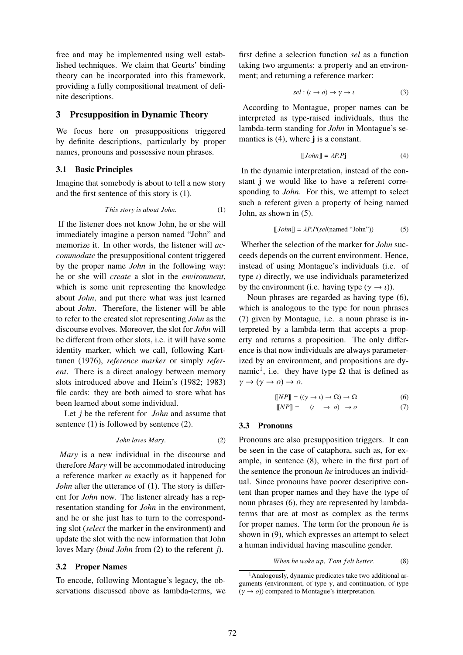free and may be implemented using well established techniques. We claim that Geurts' binding theory can be incorporated into this framework, providing a fully compositional treatment of definite descriptions.

### 3 Presupposition in Dynamic Theory

We focus here on presuppositions triggered by definite descriptions, particularly by proper names, pronouns and possessive noun phrases.

## 3.1 Basic Principles

Imagine that somebody is about to tell a new story and the first sentence of this story is (1).

This story is about John. 
$$
(1)
$$

If the listener does not know John, he or she will immediately imagine a person named "John" and memorize it. In other words, the listener will *accommodate* the presuppositional content triggered by the proper name *John* in the following way: he or she will *create* a slot in the *environment*, which is some unit representing the knowledge about *John*, and put there what was just learned about *John*. Therefore, the listener will be able to refer to the created slot representing *John* as the discourse evolves. Moreover, the slot for *John* will be different from other slots, i.e. it will have some identity marker, which we call, following Karttunen (1976), *reference marker* or simply *referent*. There is a direct analogy between memory slots introduced above and Heim's (1982; 1983) file cards: they are both aimed to store what has been learned about some individual.

Let *j* be the referent for *John* and assume that sentence (1) is followed by sentence (2).

$$
John loves Mary. \t(2)
$$

*Mary* is a new individual in the discourse and therefore *Mary* will be accommodated introducing a reference marker *m* exactly as it happened for *John* after the utterance of (1). The story is different for *John* now. The listener already has a representation standing for *John* in the environment, and he or she just has to turn to the corresponding slot (*select* the marker in the environment) and update the slot with the new information that John loves Mary (*bind John* from (2) to the referent *j*).

#### 3.2 Proper Names

To encode, following Montague's legacy, the observations discussed above as lambda-terms, we first define a selection function *sel* as a function taking two arguments: a property and an environment; and returning a reference marker:

$$
sel: (t \to o) \to \gamma \to t \tag{3}
$$

According to Montague, proper names can be interpreted as type-raised individuals, thus the lambda-term standing for *John* in Montague's semantics is  $(4)$ , where j is a constant.

$$
[[John]] = \lambda P. Pj \tag{4}
$$

In the dynamic interpretation, instead of the constant j we would like to have a referent corresponding to *John*. For this, we attempt to select such a referent given a property of being named John, as shown in (5).

$$
[[John]] = \lambda P.P(self(\text{named "John"))} \tag{5}
$$

Whether the selection of the marker for *John* succeeds depends on the current environment. Hence, instead of using Montague's individuals (i.e. of type  $\iota$ ) directly, we use individuals parameterized by the environment (i.e. having type  $(\gamma \to \iota)$ ).

Noun phrases are regarded as having type (6), which is analogous to the type for noun phrases (7) given by Montague, i.e. a noun phrase is interpreted by a lambda-term that accepts a property and returns a proposition. The only difference is that now individuals are always parameterized by an environment, and propositions are dynamic<sup>1</sup>, i.e. they have type  $\Omega$  that is defined as  $\gamma \rightarrow (\gamma \rightarrow o) \rightarrow o.$ 

$$
[[NP]] = ((\gamma \to \iota) \to \Omega) \to \Omega \tag{6}
$$

$$
[NP] = (t \rightarrow o) \rightarrow o \tag{7}
$$

#### 3.3 Pronouns

Pronouns are also presupposition triggers. It can be seen in the case of cataphora, such as, for example, in sentence (8), where in the first part of the sentence the pronoun *he* introduces an individual. Since pronouns have poorer descriptive content than proper names and they have the type of noun phrases (6), they are represented by lambdaterms that are at most as complex as the terms for proper names. The term for the pronoun *he* is shown in (9), which expresses an attempt to select a human individual having masculine gender.

*When he woke up, Tom felt better.* (8)

<sup>&</sup>lt;sup>1</sup>Analogously, dynamic predicates take two additional arguments (environment, of type  $\gamma$ , and continuation, of type  $(y \rightarrow o)$ ) compared to Montague's interpretation.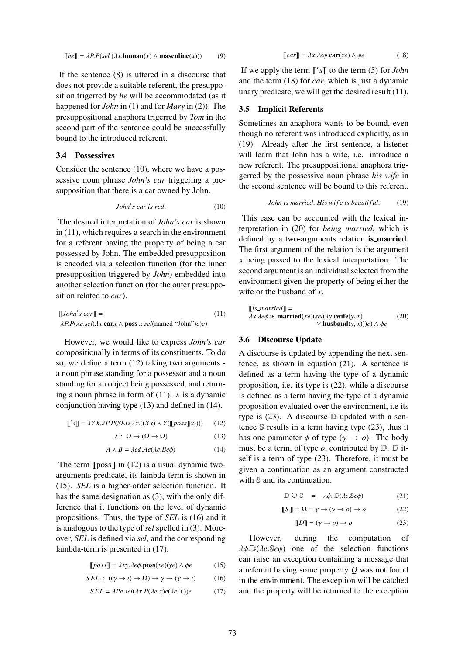$$
[[he]] = \lambda P.P(sel (\lambda x.\mathbf{human}(x) \land \mathbf{masculine}(x))) \tag{9}
$$

If the sentence (8) is uttered in a discourse that does not provide a suitable referent, the presupposition trigerred by *he* will be accommodated (as it happened for *John* in (1) and for *Mary* in (2)). The presuppositional anaphora trigerred by *Tom* in the second part of the sentence could be successfully bound to the introduced referent.

#### 3.4 Possessives

Consider the sentence (10), where we have a possessive noun phrase *John's car* triggering a presupposition that there is a car owned by John.

$$
John's car is red. \t(10)
$$

The desired interpretation of *John's car* is shown in (11), which requires a search in the environment for a referent having the property of being a car possessed by John. The embedded presupposition is encoded via a selection function (for the inner presupposition triggered by *John*) embedded into another selection function (for the outer presupposition related to *car*).

 $[John's car]$  = (11) λ*P*.*P*(λ*e*.*sel*(λ*x*.car*<sup>x</sup>* <sup>∧</sup> poss *x sel*(named "John")*e*)*e*)

However, we would like to express *John's car* compositionally in terms of its constituents. To do so, we define a term (12) taking two arguments a noun phrase standing for a possessor and a noun standing for an object being possessed, and returning a noun phrase in form of (11).  $\wedge$  is a dynamic conjunction having type (13) and defined in (14).

$$
\llbracket 's \rrbracket = \lambda YX.\lambda P.P(SEL(\lambda x.((Xx) \land Y(\llbracket poss \rrbracket x)))) \tag{12}
$$

$$
\lambda: \ \Omega \to (\Omega \to \Omega) \tag{13}
$$

$$
A \wedge B = \lambda e \phi \cdot Ae(\lambda e \cdot Be\phi) \tag{14}
$$

The term  $[\text{poss}]]$  in (12) is a usual dynamic twoarguments predicate, its lambda-term is shown in (15). *SEL* is a higher-order selection function. It has the same designation as (3), with the only difference that it functions on the level of dynamic propositions. Thus, the type of *SEL* is (16) and it is analogous to the type of *sel* spelled in (3). Moreover, *SEL* is defined via *sel*, and the corresponding lambda-term is presented in (17).

$$
[[poss]] = \lambda xy. \lambda e\phi. \text{poss}(xe)(ye) \land \phi e \tag{15}
$$

$$
SEL: ((\gamma \to \iota) \to \Omega) \to \gamma \to (\gamma \to \iota) \tag{16}
$$

$$
SEL = \lambda Pe.sel(\lambda x.P(\lambda e.x)e(\lambda e.T))e
$$
 (17)

$$
[[car]] = \lambda x. \lambda e \phi . \mathbf{car}(xe) \wedge \phi e \tag{18}
$$

If we apply the term  $\llbracket 's \rrbracket$  to the term (5) for *John* and the term (18) for *car*, which is just a dynamic unary predicate, we will get the desired result (11).

#### 3.5 Implicit Referents

Sometimes an anaphora wants to be bound, even though no referent was introduced explicitly, as in (19). Already after the first sentence, a listener will learn that John has a wife, i.e. introduce a new referent. The presuppositional anaphora triggerred by the possessive noun phrase *his wife* in the second sentence will be bound to this referent.

John is married. His wife is beautiful. 
$$
(19)
$$

This case can be accounted with the lexical interpretation in (20) for *being married*, which is defined by a two-arguments relation is married. The first argument of the relation is the argument *x* being passed to the lexical interpretation. The second argument is an individual selected from the environment given the property of being either the wife or the husband of *x*.

$$
[[is.married]] = \lambda x. \lambda e\phi \text{.is.married}(xe)(sel(\lambda y. (wife(y, x) \land \phi e \land \lambda y.)))e) \land \phi e
$$
 (20)

#### 3.6 Discourse Update

A discourse is updated by appending the next sentence, as shown in equation (21). A sentence is defined as a term having the type of a dynamic proposition, i.e. its type is (22), while a discourse is defined as a term having the type of a dynamic proposition evaluated over the environment, i.e its type is  $(23)$ . A discourse  $D$  updated with a sentence  $\mathcal S$  results in a term having type (23), thus it has one parameter  $\phi$  of type ( $\gamma \rightarrow o$ ). The body must be a term, of type  $o$ , contributed by  $D$ .  $D$  itself is a term of type (23). Therefore, it must be given a continuation as an argument constructed with  $\Im$  and its continuation.

$$
\mathbb{D} \cup \mathbb{S} = \lambda \phi. \mathbb{D}(\lambda e. \mathbb{S} e \phi) \tag{21}
$$

$$
[[S]] = \Omega = \gamma \to (\gamma \to o) \to o \tag{22}
$$

$$
[[D]] = (\gamma \to o) \to o \tag{23}
$$

However, during the computation of λφ.D(λ*e*.S*e*φ) one of the selection functions can raise an exception containing a message that a referent having some property *Q* was not found in the environment. The exception will be catched and the property will be returned to the exception